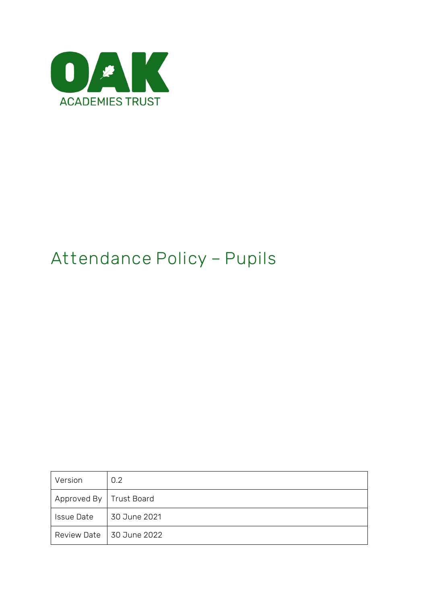

# **Attendance Policy – Pupils**

| Version                   | 0.2                        |
|---------------------------|----------------------------|
| Approved By   Trust Board |                            |
| <b>Issue Date</b>         | 30 June 2021               |
|                           | Review Date   30 June 2022 |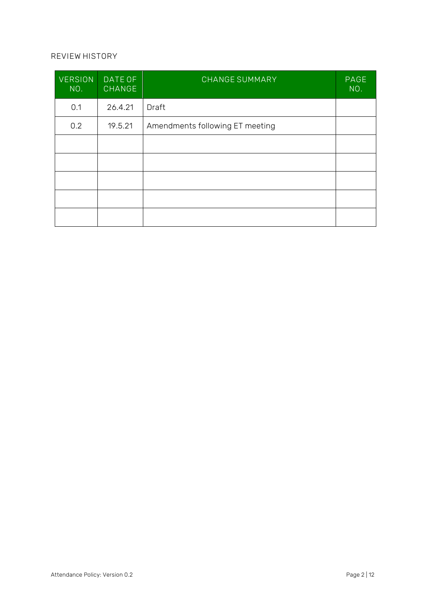#### **REVIEW HISTORY**

| <b>VERSION</b><br>NO. | DATE OF<br><b>CHANGE</b> | <b>CHANGE SUMMARY</b>           | PAGE<br>NO. |
|-----------------------|--------------------------|---------------------------------|-------------|
| 0.1                   | 26.4.21                  | Draft                           |             |
| 0.2                   | 19.5.21                  | Amendments following ET meeting |             |
|                       |                          |                                 |             |
|                       |                          |                                 |             |
|                       |                          |                                 |             |
|                       |                          |                                 |             |
|                       |                          |                                 |             |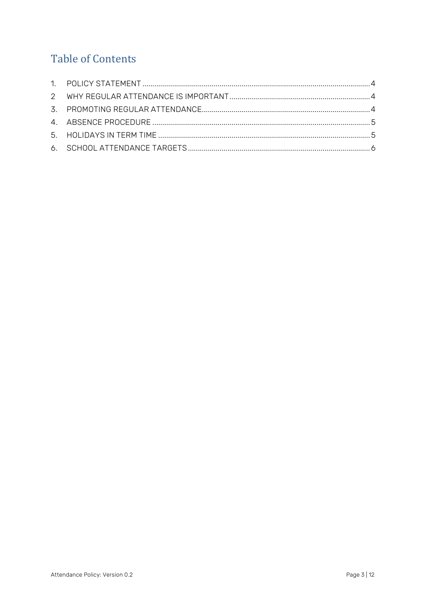# **Table of Contents**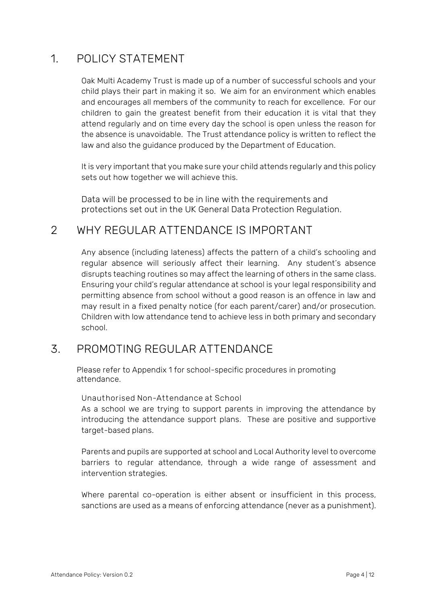## <span id="page-3-0"></span>1. POLICY STATEMENT

Oak Multi Academy Trust is made up of a number of successful schools and your child plays their part in making it so. We aim for an environment which enables and encourages all members of the community to reach for excellence. For our children to gain the greatest benefit from their education it is vital that they attend regularly and on time every day the school is open unless the reason for the absence is unavoidable. The Trust attendance policy is written to reflect the law and also the guidance produced by the Department of Education.

It is very important that you make sure your child attends regularly and this policy sets out how together we will achieve this.

Data will be processed to be in line with the requirements and protections set out in the UK General Data Protection Regulation.

# <span id="page-3-1"></span>2 WHY REGULAR ATTENDANCE IS IMPORTANT

Any absence (including lateness) affects the pattern of a child's schooling and regular absence will seriously affect their learning. Any student's absence disrupts teaching routines so may affect the learning of others in the same class. Ensuring your child's regular attendance at school is your legal responsibility and permitting absence from school without a good reason is an offence in law and may result in a fixed penalty notice (for each parent/carer) and/or prosecution. Children with low attendance tend to achieve less in both primary and secondary school.

## <span id="page-3-2"></span>3. PROMOTING REGULAR ATTENDANCE

Please refer to Appendix 1 for school-specific procedures in promoting attendance.

**Unauthorised Non-Attendance at School**

As a school we are trying to support parents in improving the attendance by introducing the attendance support plans. These are positive and supportive target-based plans.

Parents and pupils are supported at school and Local Authority level to overcome barriers to regular attendance, through a wide range of assessment and intervention strategies.

Where parental co-operation is either absent or insufficient in this process, sanctions are used as a means of enforcing attendance (never as a punishment).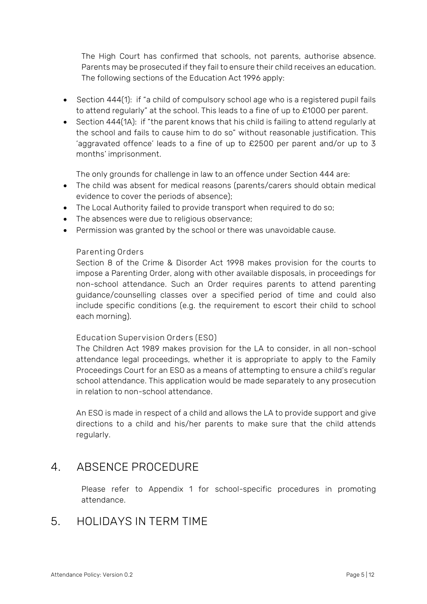The High Court has confirmed that schools, not parents, authorise absence. Parents may be prosecuted if they fail to ensure their child receives an education. The following sections of the Education Act 1996 apply:

- Section 444(1): if "a child of compulsory school age who is a registered pupil fails to attend regularly" at the school. This leads to a fine of up to £1000 per parent.
- Section 444(1A): if "the parent knows that his child is failing to attend regularly at the school and fails to cause him to do so" without reasonable justification. This 'aggravated offence' leads to a fine of up to £2500 per parent and/or up to 3 months' imprisonment.

The only grounds for challenge in law to an offence under Section 444 are:

- The child was absent for medical reasons (parents/carers should obtain medical evidence to cover the periods of absence);
- The Local Authority failed to provide transport when required to do so;
- The absences were due to religious observance;
- Permission was granted by the school or there was unavoidable cause.

#### **Parenting Orders**

Section 8 of the Crime & Disorder Act 1998 makes provision for the courts to impose a Parenting Order, along with other available disposals, in proceedings for non-school attendance. Such an Order requires parents to attend parenting guidance/counselling classes over a specified period of time and could also include specific conditions (e.g. the requirement to escort their child to school each morning).

#### **Education Supervision Orders (ESO)**

The Children Act 1989 makes provision for the LA to consider, in all non-school attendance legal proceedings, whether it is appropriate to apply to the Family Proceedings Court for an ESO as a means of attempting to ensure a child's regular school attendance. This application would be made separately to any prosecution in relation to non-school attendance.

An ESO is made in respect of a child and allows the LA to provide support and give directions to a child and his/her parents to make sure that the child attends regularly.

### <span id="page-4-0"></span>4. ABSENCE PROCEDURE

Please refer to Appendix 1 for school-specific procedures in promoting attendance.

### <span id="page-4-1"></span>5. HOLIDAYS IN TERM TIME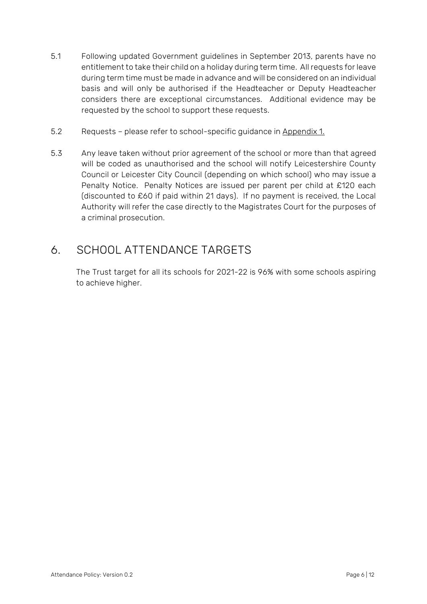- 5.1 Following updated Government guidelines in September 2013, parents have no entitlement to take their child on a holiday during term time. All requests for leave during term time must be made in advance and will be considered on an individual basis and will only be authorised if the Headteacher or Deputy Headteacher considers there are exceptional circumstances. Additional evidence may be requested by the school to support these requests.
- 5.2 Requests please refer to school-specific guidance in Appendix 1.
- 5.3 Any leave taken without prior agreement of the school or more than that agreed will be coded as unauthorised and the school will notify Leicestershire County Council or Leicester City Council (depending on which school) who may issue a Penalty Notice. Penalty Notices are issued per parent per child at £120 each (discounted to £60 if paid within 21 days). If no payment is received, the Local Authority will refer the case directly to the Magistrates Court for the purposes of a criminal prosecution.

# <span id="page-5-0"></span>6. SCHOOL ATTENDANCE TARGETS

The Trust target for all its schools for 2021-22 is 96% with some schools aspiring to achieve higher.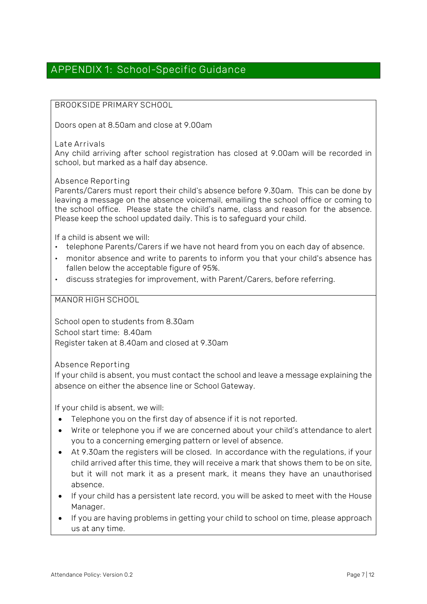### **APPENDIX 1: School-Specific Guidance**

#### **BROOKSIDE PRIMARY SCHOOL**

Doors open at 8.50am and close at 9.00am

**Late Arrivals** 

Any child arriving after school registration has closed at 9.00am will be recorded in school, but marked as a half day absence.

**Absence Reporting**

Parents/Carers must report their child's absence before 9.30am. This can be done by leaving a message on the absence voicemail, emailing the school office or coming to the school office. Please state the child's name, class and reason for the absence. Please keep the school updated daily. This is to safeguard your child.

If a child is absent we will:

- telephone Parents/Carers if we have not heard from you on each day of absence.
- monitor absence and write to parents to inform you that your child's absence has fallen below the acceptable figure of 95%.
- discuss strategies for improvement, with Parent/Carers, before referring.

**MANOR HIGH SCHOOL**

School open to students from 8.30am School start time: 8.40am Register taken at 8.40am and closed at 9.30am

**Absence Reporting**

If your child is absent, you must contact the school and leave a message explaining the absence on either the absence line or School Gateway.

If your child is absent, we will:

- Telephone you on the first day of absence if it is not reported.
- Write or telephone you if we are concerned about your child's attendance to alert you to a concerning emerging pattern or level of absence.
- At 9.30am the registers will be closed. In accordance with the regulations, if your child arrived after this time, they will receive a mark that shows them to be on site, but it will not mark it as a present mark, it means they have an unauthorised absence.
- If your child has a persistent late record, you will be asked to meet with the House Manager.
- If you are having problems in getting your child to school on time, please approach us at any time.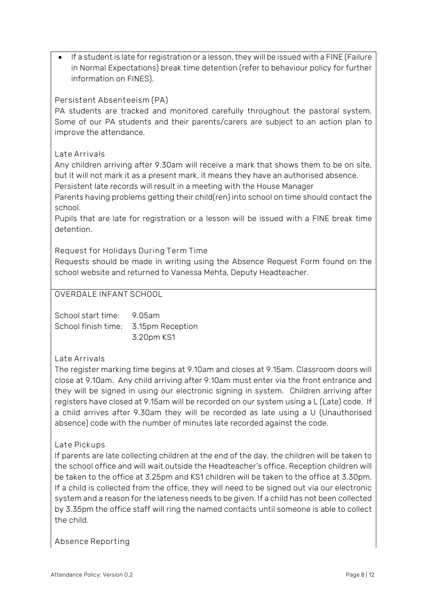If a student is late for registration or a lesson, they will be issued with a FINE (Failure in Normal Expectations) break time detention (refer to behaviour policy for further information on FINES).

#### **Persistent Absenteeism (PA)**

PA students are tracked and monitored carefully throughout the pastoral system. Some of our PA students and their parents/carers are subject to an action plan to improve the attendance.

#### **Late Arrivals**

Any children arriving after 9.30am will receive a mark that shows them to be on site, but it will not mark it as a present mark, it means they have an authorised absence. Persistent late records will result in a meeting with the House Manager

Parents having problems getting their child(ren) into school on time should contact the school.

Pupils that are late for registration or a lesson will be issued with a FINE break time detention.

**Request for Holidays During Term Time**

Requests should be made in writing using the Absence Request Form found on the school website and returned to Vanessa Mehta, Deputy Headteacher.

#### **OVERDALE INFANT SCHOOL**

School start time: 9.05am School finish time: 3.15pm Reception 3.20pm KS1

#### **Late Arrivals**

The register marking time begins at 9.10am and closes at 9.15am. Classroom doors will close at 9.10am. Any child arriving after 9.10am must enter via the front entrance and they will be signed in using our electronic signing in system. Children arriving after registers have closed at 9.15am will be recorded on our system using a L (Late) code. If a child arrives after 9.30am they will be recorded as late using a U (Unauthorised absence) code with the number of minutes late recorded against the code.

#### **Late Pickups**

If parents are late collecting children at the end of the day, the children will be taken to the school office and will wait outside the Headteacher's office. Reception children will be taken to the office at 3.25pm and KS1 children will be taken to the office at 3.30pm. If a child is collected from the office, they will need to be signed out via our electronic system and a reason for the lateness needs to be given. If a child has not been collected by 3.35pm the office staff will ring the named contacts until someone is able to collect the child.

**Absence Reporting**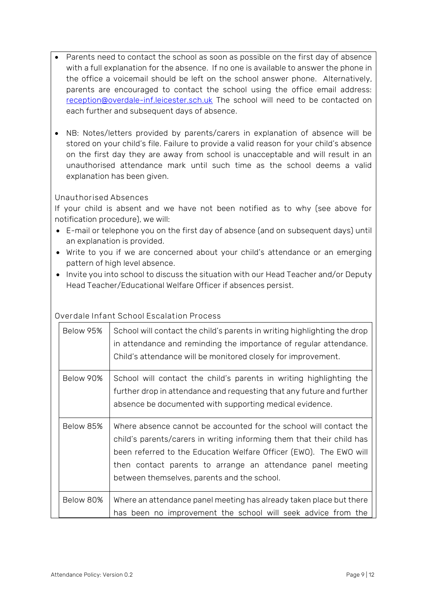- Parents need to contact the school as soon as possible on the first day of absence with a full explanation for the absence. If no one is available to answer the phone in the office a voicemail should be left on the school answer phone. Alternatively, parents are encouraged to contact the school using the office email address: [reception@overdale-inf.leicester.sch.uk](mailto:reception@overdale-inf.leicester.sch.uk) The school will need to be contacted on each further and subsequent days of absence.
- NB: Notes/letters provided by parents/carers in explanation of absence will be stored on your child's file. Failure to provide a valid reason for your child's absence on the first day they are away from school is unacceptable and will result in an unauthorised attendance mark until such time as the school deems a valid explanation has been given.

#### **Unauthorised Absences**

If your child is absent and we have not been notified as to why (see above for notification procedure), we will:

- E-mail or telephone you on the first day of absence (and on subsequent days) until an explanation is provided.
- Write to you if we are concerned about your child's attendance or an emerging pattern of high level absence.
- Invite you into school to discuss the situation with our Head Teacher and/or Deputy Head Teacher/Educational Welfare Officer if absences persist.

#### **Overdale Infant School Escalation Process**

| Below 95% | School will contact the child's parents in writing highlighting the drop<br>in attendance and reminding the importance of regular attendance.<br>Child's attendance will be monitored closely for improvement.                                                                                                                 |
|-----------|--------------------------------------------------------------------------------------------------------------------------------------------------------------------------------------------------------------------------------------------------------------------------------------------------------------------------------|
| Below 90% | School will contact the child's parents in writing highlighting the<br>further drop in attendance and requesting that any future and further<br>absence be documented with supporting medical evidence.                                                                                                                        |
| Below 85% | Where absence cannot be accounted for the school will contact the<br>child's parents/carers in writing informing them that their child has<br>been referred to the Education Welfare Officer (EWO). The EWO will<br>then contact parents to arrange an attendance panel meeting<br>between themselves, parents and the school. |
| Below 80% | Where an attendance panel meeting has already taken place but there<br>has been no improvement the school will seek advice from the                                                                                                                                                                                            |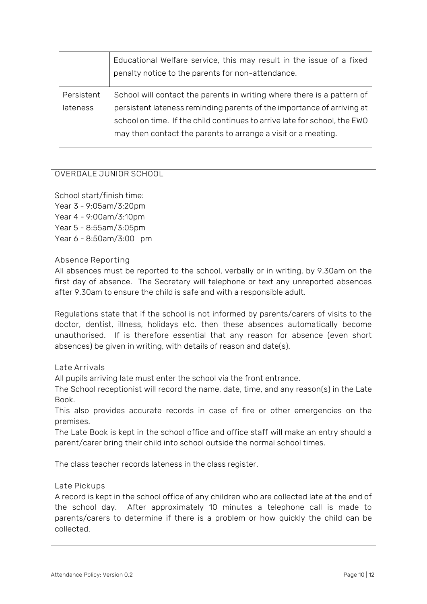|            | Educational Welfare service, this may result in the issue of a fixed<br>penalty notice to the parents for non-attendance. |
|------------|---------------------------------------------------------------------------------------------------------------------------|
| Persistent | School will contact the parents in writing where there is a pattern of                                                    |
| lateness   | persistent lateness reminding parents of the importance of arriving at                                                    |
|            | school on time. If the child continues to arrive late for school, the EWO                                                 |
|            | may then contact the parents to arrange a visit or a meeting.                                                             |
|            |                                                                                                                           |

#### **OVERDALE JUNIOR SCHOOL**

School start/finish time: Year 3 - 9:05am/3:20pm

Year 4 - 9:00am/3:10pm

Year 5 - 8:55am/3:05pm

Year 6 - 8:50am/3:00 pm

**Absence Reporting**

All absences must be reported to the school, verbally or in writing, by 9.30am on the first day of absence. The Secretary will telephone or text any unreported absences after 9.30am to ensure the child is safe and with a responsible adult.

Regulations state that if the school is not informed by parents/carers of visits to the doctor, dentist, illness, holidays etc. then these absences automatically become unauthorised. If is therefore essential that any reason for absence (even short absences) be given in writing, with details of reason and date(s).

**Late Arrivals**

All pupils arriving late must enter the school via the front entrance.

The School receptionist will record the name, date, time, and any reason(s) in the Late Book.

This also provides accurate records in case of fire or other emergencies on the premises.

The Late Book is kept in the school office and office staff will make an entry should a parent/carer bring their child into school outside the normal school times.

The class teacher records lateness in the class register.

#### **Late Pickups**

A record is kept in the school office of any children who are collected late at the end of the school day. After approximately 10 minutes a telephone call is made to parents/carers to determine if there is a problem or how quickly the child can be collected.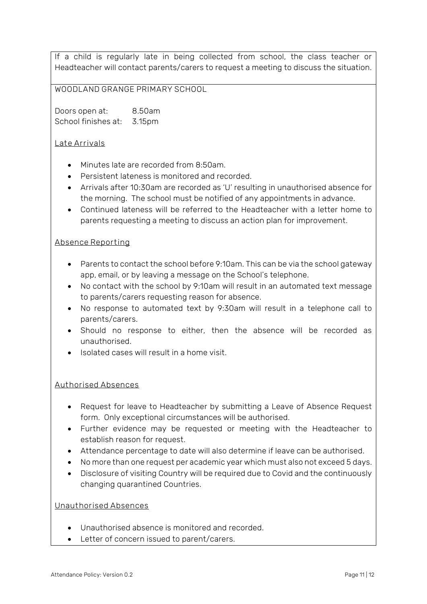If a child is regularly late in being collected from school, the class teacher or Headteacher will contact parents/carers to request a meeting to discuss the situation.

#### **WOODLAND GRANGE PRIMARY SCHOOL**

Doors open at: 8.50am School finishes at: 3.15pm

#### **Late Arrivals**

- Minutes late are recorded from 8:50am.
- Persistent lateness is monitored and recorded.
- Arrivals after 10:30am are recorded as 'U' resulting in unauthorised absence for the morning. The school must be notified of any appointments in advance.
- Continued lateness will be referred to the Headteacher with a letter home to parents requesting a meeting to discuss an action plan for improvement.

#### **Absence Reporting**

- Parents to contact the school before 9:10am. This can be via the school gateway app, email, or by leaving a message on the School's telephone.
- No contact with the school by 9:10am will result in an automated text message to parents/carers requesting reason for absence.
- No response to automated text by 9:30am will result in a telephone call to parents/carers.
- Should no response to either, then the absence will be recorded as unauthorised.
- Isolated cases will result in a home visit.

#### **Authorised Absences**

- Request for leave to Headteacher by submitting a Leave of Absence Request form. Only exceptional circumstances will be authorised.
- Further evidence may be requested or meeting with the Headteacher to establish reason for request.
- Attendance percentage to date will also determine if leave can be authorised.
- No more than one request per academic year which must also not exceed 5 days.
- Disclosure of visiting Country will be required due to Covid and the continuously changing quarantined Countries.

#### **Unauthorised Absences**

- Unauthorised absence is monitored and recorded.
- Letter of concern issued to parent/carers.